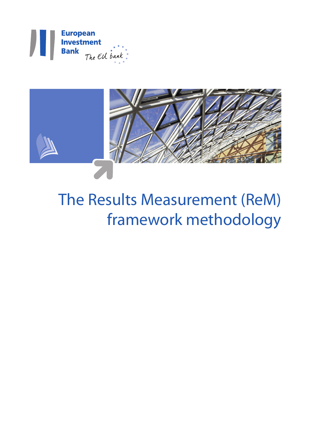



# The Results Measurement (ReM) framework methodology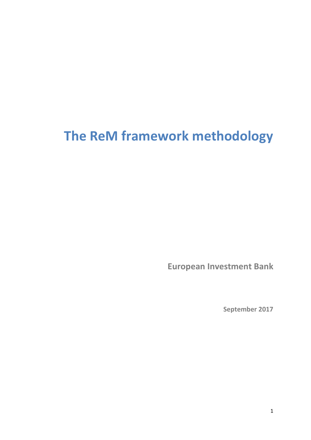# **The ReM framework methodology**

<span id="page-2-0"></span>**European Investment Bank**

**September 2017**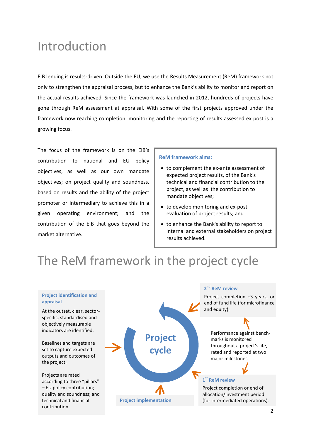### Introduction

EIB lending is results-driven. Outside the EU, we use the Results Measurement (ReM) framework not only to strengthen the appraisal process, but to enhance the Bank's ability to monitor and report on the actual results achieved. Since the framework was launched in 2012, hundreds of projects have gone through ReM assessment at appraisal. With some of the first projects approved under the framework now reaching completion, monitoring and the reporting of results assessed ex post is a growing focus.

The focus of the framework is on the EIB's contribution to national and EU policy objectives, as well as our own mandate objectives; on project quality and soundness, based on results and the ability of the project promoter or intermediary to achieve this in a given operating environment; and the contribution of the EIB that goes beyond the market alternative.

### **ReM framework aims:**

- to complement the ex-ante assessment of expected project results, of the Bank's technical and financial contribution to the project, as well as the contribution to mandate objectives;
- to develop monitoring and ex-post evaluation of project results; and
- to enhance the Bank's ability to report to internal and external stakeholders on project results achieved.

# The ReM framework in the project cycle

#### **Project identification and appraisal**

At the outset, clear, sectorspecific, standardised and objectively measurable indicators are identified.

Baselines and targets are set to capture expected outputs and outcomes of the project.

Projects are rated according to three "pillars" – EU policy contribution; quality and soundness; and technical and financial contribution

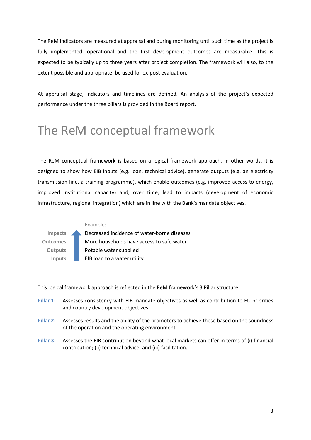The ReM indicators are measured at appraisal and during monitoring until such time as the project is fully implemented, operational and the first development outcomes are measurable. This is expected to be typically up to three years after project completion. The framework will also, to the extent possible and appropriate, be used for ex-post evaluation.

At appraisal stage, indicators and timelines are defined. An analysis of the project's expected performance under the three pillars is provided in the Board report.

### The ReM conceptual framework

The ReM conceptual framework is based on a logical framework approach. In other words, it is designed to show how EIB inputs (e.g. loan, technical advice), generate outputs (e.g. an electricity transmission line, a training programme), which enable outcomes (e.g. improved access to energy, improved institutional capacity) and, over time, lead to impacts (development of economic infrastructure, regional integration) which are in line with the Bank's mandate objectives.



This logical framework approach is reflected in the ReM framework's 3 Pillar structure:

- **Pillar 1:** Assesses consistency with EIB mandate objectives as well as contribution to EU priorities and country development objectives.
- **Pillar 2:** Assesses results and the ability of the promoters to achieve these based on the soundness of the operation and the operating environment.
- **Pillar 3:** Assesses the EIB contribution beyond what local markets can offer in terms of (i) financial contribution; (ii) technical advice; and (iii) facilitation.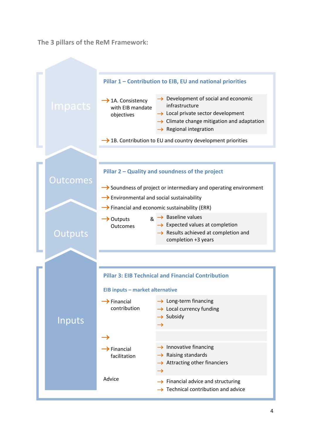**The 3 pillars of the ReM Framework:**

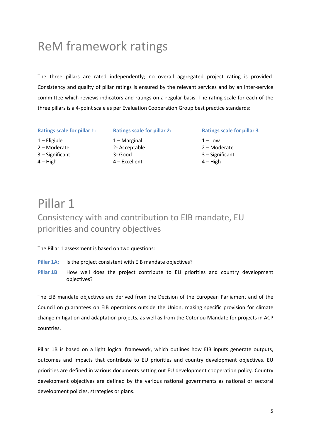## ReM framework ratings

The three pillars are rated independently; no overall aggregated project rating is provided. Consistency and quality of pillar ratings is ensured by the relevant services and by an inter-service committee which reviews indicators and ratings on a regular basis. The rating scale for each of the three pillars is a 4-point scale as per Evaluation Cooperation Group best practice standards:

**Ratings scale for pillar 1: Ratings scale for pillar 2: Ratings scale for pillar 3**

- 1 Eligible
- 2 Moderate
- 3 Significant
- $4 High$

1 – Marginal 2- Acceptable 3- Good 4 – Excellent

 $1 -$ Low 2 – Moderate 3 – Significant 4 – High

### Pillar 1 Consistency with and contribution to EIB mandate, EU priorities and country objectives

### The Pillar 1 assessment is based on two questions:

- Pillar 1A: Is the project consistent with EIB mandate objectives?
- Pillar 1B: How well does the project contribute to EU priorities and country development objectives?

The EIB mandate objectives are derived from the Decision of the European Parliament and of the Council on guarantees on EIB operations outside the Union, making specific provision for climate change mitigation and adaptation projects, as well as from the Cotonou Mandate for projects in ACP countries.

Pillar 1B is based on a light logical framework, which outlines how EIB inputs generate outputs, outcomes and impacts that contribute to EU priorities and country development objectives. EU priorities are defined in various documents setting out EU development cooperation policy. Country development objectives are defined by the various national governments as national or sectoral development policies, strategies or plans.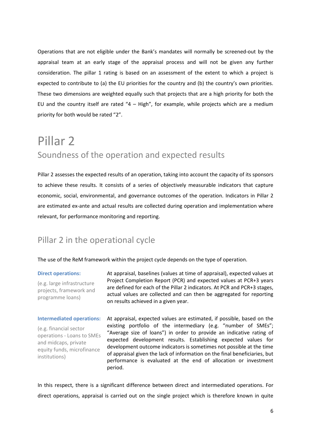Operations that are not eligible under the Bank's mandates will normally be screened-out by the appraisal team at an early stage of the appraisal process and will not be given any further consideration. The pillar 1 rating is based on an assessment of the extent to which a project is expected to contribute to (a) the EU priorities for the country and (b) the country's own priorities. These two dimensions are weighted equally such that projects that are a high priority for both the EU and the country itself are rated  $4 - High$ , for example, while projects which are a medium priority for both would be rated "2".

### Pillar 2 Soundness of the operation and expected results

Pillar 2 assesses the expected results of an operation, taking into account the capacity of its sponsors to achieve these results. It consists of a series of objectively measurable indicators that capture economic, social, environmental, and governance outcomes of the operation. Indicators in Pillar 2 are estimated ex-ante and actual results are collected during operation and implementation where relevant, for performance monitoring and reporting.

### Pillar 2 in the operational cycle

The use of the ReM framework within the project cycle depends on the type of operation.

### **Direct operations:**

(e.g. large infrastructure projects, framework and programme loans)

At appraisal, baselines (values at time of appraisal), expected values at Project Completion Report (PCR) and expected values at PCR+3 years are defined for each of the Pillar 2 indicators. At PCR and PCR+3 stages, actual values are collected and can then be aggregated for reporting on results achieved in a given year.

### **Intermediated operations:**

(e.g. financial sector operations - Loans to SMEs and midcaps, private equity funds, microfinance institutions)

At appraisal, expected values are estimated, if possible, based on the existing portfolio of the intermediary (e.g. "number of SMEs"; "Average size of loans") in order to provide an indicative rating of expected development results. Establishing expected values for development outcome indicators is sometimes not possible at the time of appraisal given the lack of information on the final beneficiaries, but performance is evaluated at the end of allocation or investment period.

In this respect, there is a significant difference between direct and intermediated operations. For direct operations, appraisal is carried out on the single project which is therefore known in quite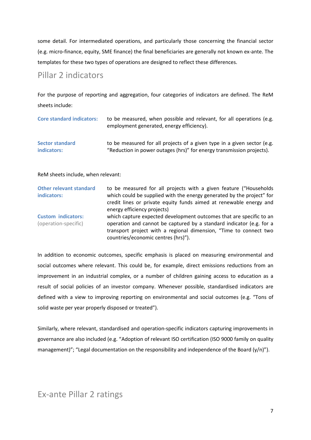some detail. For intermediated operations, and particularly those concerning the financial sector (e.g. micro-finance, equity, SME finance) the final beneficiaries are generally not known ex-ante. The templates for these two types of operations are designed to reflect these differences.

### Pillar 2 indicators

For the purpose of reporting and aggregation, four categories of indicators are defined. The ReM sheets include:

| <b>Core standard indicators:</b> | to be measured, when possible and relevant, for all operations (e.g.<br>employment generated, energy efficiency). |
|----------------------------------|-------------------------------------------------------------------------------------------------------------------|
| <b>Sector standard</b>           | to be measured for all projects of a given type in a given sector (e.g.                                           |
| indicators:                      | "Reduction in power outages (hrs)" for energy transmission projects).                                             |

ReM sheets include, when relevant:

| <b>Other relevant standard</b><br>indicators:     | to be measured for all projects with a given feature ("Households<br>which could be supplied with the energy generated by the project" for<br>credit lines or private equity funds aimed at renewable energy and<br>energy efficiency projects)         |
|---------------------------------------------------|---------------------------------------------------------------------------------------------------------------------------------------------------------------------------------------------------------------------------------------------------------|
| <b>Custom indicators:</b><br>(operation-specific) | which capture expected development outcomes that are specific to an<br>operation and cannot be captured by a standard indicator (e.g. for a<br>transport project with a regional dimension, "Time to connect two<br>countries/economic centres (hrs)"). |

In addition to economic outcomes, specific emphasis is placed on measuring environmental and social outcomes where relevant. This could be, for example, direct emissions reductions from an improvement in an industrial complex, or a number of children gaining access to education as a result of social policies of an investor company. Whenever possible, standardised indicators are defined with a view to improving reporting on environmental and social outcomes (e.g. "Tons of solid waste per year properly disposed or treated").

Similarly, where relevant, standardised and operation-specific indicators capturing improvements in governance are also included (e.g. "Adoption of relevant ISO certification (ISO 9000 family on quality management)"; "Legal documentation on the responsibility and independence of the Board (y/n)").

### Ex-ante Pillar 2 ratings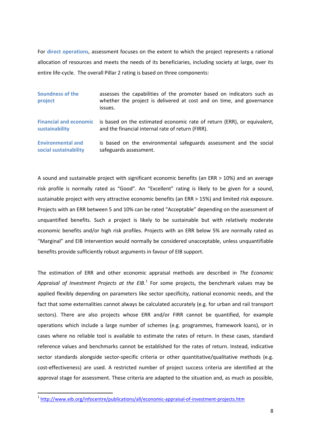For **direct operations**, assessment focuses on the extent to which the project represents a rational allocation of resources and meets the needs of its beneficiaries, including society at large, over its entire life-cycle. The overall Pillar 2 rating is based on three components:

| <b>Soundness of the</b><br>project | assesses the capabilities of the promoter based on indicators such as<br>whether the project is delivered at cost and on time, and governance<br>issues. |
|------------------------------------|----------------------------------------------------------------------------------------------------------------------------------------------------------|
| <b>Financial and economic</b>      | is based on the estimated economic rate of return (ERR), or equivalent,                                                                                  |
| sustainability                     | and the financial internal rate of return (FIRR).                                                                                                        |
| <b>Environmental and</b>           | is based on the environmental safeguards assessment and the social                                                                                       |
| social sustainability              | safeguards assessment.                                                                                                                                   |

A sound and sustainable project with significant economic benefits (an ERR > 10%) and an average risk profile is normally rated as "Good". An "Excellent" rating is likely to be given for a sound, sustainable project with very attractive economic benefits (an ERR > 15%) and limited risk exposure. Projects with an ERR between 5 and 10% can be rated "Acceptable" depending on the assessment of unquantified benefits. Such a project is likely to be sustainable but with relatively moderate economic benefits and/or high risk profiles. Projects with an ERR below 5% are normally rated as "Marginal" and EIB intervention would normally be considered unacceptable, unless unquantifiable benefits provide sufficiently robust arguments in favour of EIB support.

The estimation of ERR and other economic appraisal methods are described in *The Economic*  Appraisal of Investment Projects at the EIB.<sup>[1](#page-2-0)</sup> For some projects, the benchmark values may be applied flexibly depending on parameters like sector specificity, national economic needs, and the fact that some externalities cannot always be calculated accurately (e.g. for urban and rail transport sectors). There are also projects whose ERR and/or FIRR cannot be quantified, for example operations which include a large number of schemes (e.g. programmes, framework loans), or in cases where no reliable tool is available to estimate the rates of return. In these cases, standard reference values and benchmarks cannot be established for the rates of return. Instead, indicative sector standards alongside sector-specific criteria or other quantitative/qualitative methods (e.g. cost-effectiveness) are used. A restricted number of project success criteria are identified at the approval stage for assessment. These criteria are adapted to the situation and, as much as possible,

<span id="page-9-0"></span> <sup>1</sup> <http://www.eib.org/infocentre/publications/all/economic-appraisal-of-investment-projects.htm>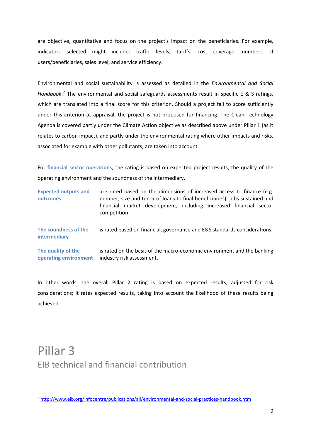are objective, quantitative and focus on the project's impact on the beneficiaries. For example, indicators selected might include: traffic levels, tariffs, cost coverage, numbers of users/beneficiaries, sales level, and service efficiency.

Environmental and social sustainability is assessed as detailed in the *Environmental and Social*  Handbook.<sup>[2](#page-9-0)</sup> The environmental and social safeguards assessments result in specific E & S ratings, which are translated into a final score for this criterion. Should a project fail to score sufficiently under this criterion at appraisal, the project is not proposed for financing. The Clean Technology Agenda is covered partly under the Climate Action objective as described above under Pillar 1 (as it relates to carbon impact), and partly under the environmental rating where other impacts and risks, associated for example with other pollutants, are taken into account.

For **financial sector operations**, the rating is based on expected project results, the quality of the operating environment and the soundness of the intermediary.

| <b>Expected outputs and</b><br>outcomes     | are rated based on the dimensions of increased access to finance (e.g.<br>number, size and tenor of loans to final beneficiaries), jobs sustained and<br>financial market development, including increased financial sector<br>competition. |
|---------------------------------------------|---------------------------------------------------------------------------------------------------------------------------------------------------------------------------------------------------------------------------------------------|
| The soundness of the<br><b>intermediary</b> | is rated based on financial, governance and E&S standards considerations.                                                                                                                                                                   |
| The quality of the<br>operating environment | is rated on the basis of the macro-economic environment and the banking<br>industry risk assessment.                                                                                                                                        |

In other words, the overall Pillar 2 rating is based on expected results, adjusted for risk considerations; it rates expected results, taking into account the likelihood of these results being achieved.

### Pillar 3 EIB technical and financial contribution

 <sup>2</sup> <http://www.eib.org/infocentre/publications/all/environmental-and-social-practices-handbook.htm>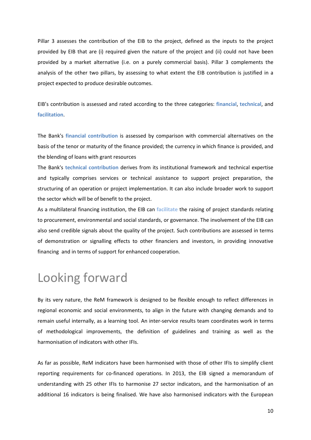Pillar 3 assesses the contribution of the EIB to the project, defined as the inputs to the project provided by EIB that are (i) required given the nature of the project and (ii) could not have been provided by a market alternative (i.e. on a purely commercial basis). Pillar 3 complements the analysis of the other two pillars, by assessing to what extent the EIB contribution is justified in a project expected to produce desirable outcomes.

EIB's contribution is assessed and rated according to the three categories: **financial**, **technical**, and **facilitation**.

The Bank's **financial contribution** is assessed by comparison with commercial alternatives on the basis of the tenor or maturity of the finance provided; the currency in which finance is provided, and the blending of loans with grant resources

The Bank's **technical contribution** derives from its institutional framework and technical expertise and typically comprises services or technical assistance to support project preparation, the structuring of an operation or project implementation. It can also include broader work to support the sector which will be of benefit to the project.

As a multilateral financing institution, the EIB can **facilitate** the raising of project standards relating to procurement, environmental and social standards, or governance. The involvement of the EIB can also send credible signals about the quality of the project. Such contributions are assessed in terms of demonstration or signalling effects to other financiers and investors, in providing innovative financing and in terms of support for enhanced cooperation.

## Looking forward

By its very nature, the ReM framework is designed to be flexible enough to reflect differences in regional economic and social environments, to align in the future with changing demands and to remain useful internally, as a learning tool. An inter-service results team coordinates work in terms of methodological improvements, the definition of guidelines and training as well as the harmonisation of indicators with other IFIs.

As far as possible, ReM indicators have been harmonised with those of other IFIs to simplify client reporting requirements for co-financed operations. In 2013, the EIB signed a memorandum of understanding with 25 other IFIs to harmonise 27 sector indicators, and the harmonisation of an additional 16 indicators is being finalised. We have also harmonised indicators with the European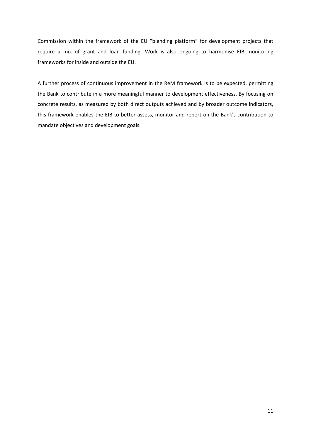Commission within the framework of the EU "blending platform" for development projects that require a mix of grant and loan funding. Work is also ongoing to harmonise EIB monitoring frameworks for inside and outside the EU.

A further process of continuous improvement in the ReM framework is to be expected, permitting the Bank to contribute in a more meaningful manner to development effectiveness. By focusing on concrete results, as measured by both direct outputs achieved and by broader outcome indicators, this framework enables the EIB to better assess, monitor and report on the Bank's contribution to mandate objectives and development goals.